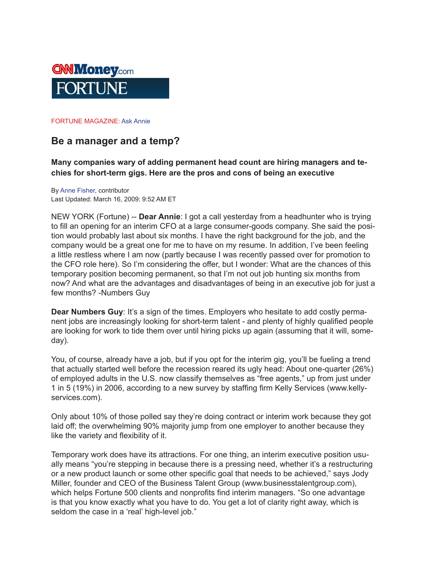

## FORTUNE MAGAZINE: Ask Annie

## **Be a manager and a temp?**

**Many companies wary of adding permanent head count are hiring managers and techies for short-term gigs. Here are the pros and cons of being an executive**

By Anne Fisher, contributor Last Updated: March 16, 2009: 9:52 AM ET

NEW YORK (Fortune) -- **Dear Annie**: I got a call yesterday from a headhunter who is trying to fill an opening for an interim CFO at a large consumer-goods company. She said the position would probably last about six months. I have the right background for the job, and the company would be a great one for me to have on my resume. In addition, I've been feeling a little restless where I am now (partly because I was recently passed over for promotion to the CFO role here). So I'm considering the offer, but I wonder: What are the chances of this temporary position becoming permanent, so that I'm not out job hunting six months from now? And what are the advantages and disadvantages of being in an executive job for just a few months? -Numbers Guy

**Dear Numbers Guy**: It's a sign of the times. Employers who hesitate to add costly permanent jobs are increasingly looking for short-term talent - and plenty of highly qualified people are looking for work to tide them over until hiring picks up again (assuming that it will, someday).

You, of course, already have a job, but if you opt for the interim gig, you'll be fueling a trend that actually started well before the recession reared its ugly head: About one-quarter (26%) of employed adults in the U.S. now classify themselves as "free agents," up from just under 1 in 5 (19%) in 2006, according to a new survey by staffing firm Kelly Services (www.kellyservices.com).

Only about 10% of those polled say they're doing contract or interim work because they got laid off; the overwhelming 90% majority jump from one employer to another because they like the variety and flexibility of it.

Temporary work does have its attractions. For one thing, an interim executive position usually means "you're stepping in because there is a pressing need, whether it's a restructuring or a new product launch or some other specific goal that needs to be achieved," says Jody Miller, founder and CEO of the Business Talent Group (www.businesstalentgroup.com), which helps Fortune 500 clients and nonprofits find interim managers. "So one advantage is that you know exactly what you have to do. You get a lot of clarity right away, which is seldom the case in a 'real' high-level job."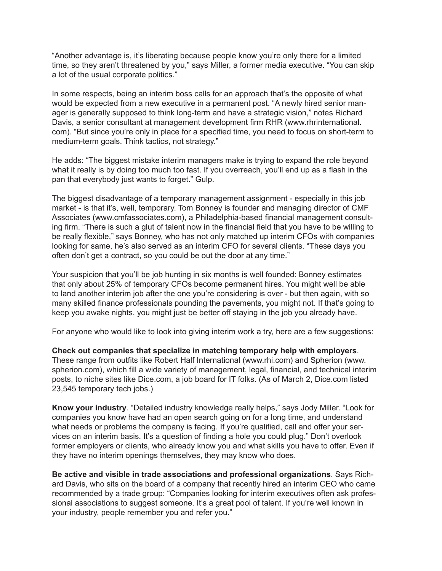"Another advantage is, it's liberating because people know you're only there for a limited time, so they aren't threatened by you," says Miller, a former media executive. "You can skip a lot of the usual corporate politics."

In some respects, being an interim boss calls for an approach that's the opposite of what would be expected from a new executive in a permanent post. "A newly hired senior manager is generally supposed to think long-term and have a strategic vision," notes Richard Davis, a senior consultant at management development firm RHR (www.rhrinternational. com). "But since you're only in place for a specified time, you need to focus on short-term to medium-term goals. Think tactics, not strategy."

He adds: "The biggest mistake interim managers make is trying to expand the role beyond what it really is by doing too much too fast. If you overreach, you'll end up as a flash in the pan that everybody just wants to forget." Gulp.

The biggest disadvantage of a temporary management assignment - especially in this job market - is that it's, well, temporary. Tom Bonney is founder and managing director of CMF Associates (www.cmfassociates.com), a Philadelphia-based financial management consulting firm. "There is such a glut of talent now in the financial field that you have to be willing to be really flexible," says Bonney, who has not only matched up interim CFOs with companies looking for same, he's also served as an interim CFO for several clients. "These days you often don't get a contract, so you could be out the door at any time."

Your suspicion that you'll be job hunting in six months is well founded: Bonney estimates that only about 25% of temporary CFOs become permanent hires. You might well be able to land another interim job after the one you're considering is over - but then again, with so many skilled finance professionals pounding the pavements, you might not. If that's going to keep you awake nights, you might just be better off staying in the job you already have.

For anyone who would like to look into giving interim work a try, here are a few suggestions:

**Check out companies that specialize in matching temporary help with employers**. These range from outfits like Robert Half International (www.rhi.com) and Spherion (www. spherion.com), which fill a wide variety of management, legal, financial, and technical interim posts, to niche sites like Dice.com, a job board for IT folks. (As of March 2, Dice.com listed 23,545 temporary tech jobs.)

**Know your industry**. "Detailed industry knowledge really helps," says Jody Miller. "Look for companies you know have had an open search going on for a long time, and understand what needs or problems the company is facing. If you're qualified, call and offer your services on an interim basis. It's a question of finding a hole you could plug." Don't overlook former employers or clients, who already know you and what skills you have to offer. Even if they have no interim openings themselves, they may know who does.

**Be active and visible in trade associations and professional organizations**. Says Richard Davis, who sits on the board of a company that recently hired an interim CEO who came recommended by a trade group: "Companies looking for interim executives often ask professional associations to suggest someone. It's a great pool of talent. If you're well known in your industry, people remember you and refer you."